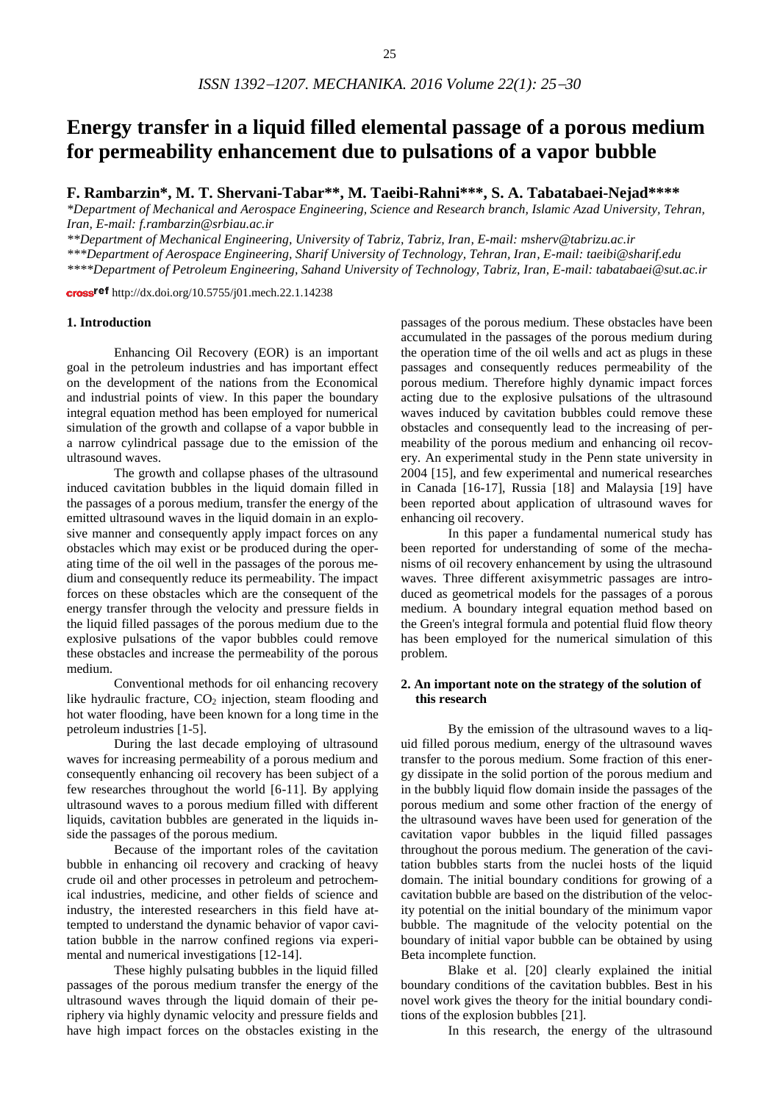# **Energy transfer in a liquid filled elemental passage of a porous medium for permeability enhancement due to pulsations of a vapor bubble**

**F. Rambarzin\*, M. T. Shervani-Tabar\*\*, M. Taeibi-Rahni\*\*\*, S. A. Tabatabaei-Nejad\*\*\*\***

*\*Department of Mechanical and Aerospace Engineering, Science and Research branch, Islamic Azad University, Tehran, Iran, E-mail: f.rambarzin@srbiau.ac.ir*

*\*\*Department of Mechanical Engineering, University of Tabriz, Tabriz, Iran, E-mail: msherv@tabrizu.ac.ir*

*\*\*\*Department of Aerospace Engineering, Sharif University of Technology, Tehran, Iran, E-mail: taeibi@sharif.edu*

*\*\*\*\*Department of Petroleum Engineering, Sahand University of Technology, Tabriz, Iran, E-mail: tabatabaei@sut.ac.ir*

cross<sup>ref</sup> http://dx.doi.org/10.5755/j01.mech.22.1.14238

#### **1. Introduction**

Enhancing Oil Recovery (EOR) is an important goal in the petroleum industries and has important effect on the development of the nations from the Economical and industrial points of view. In this paper the boundary integral equation method has been employed for numerical simulation of the growth and collapse of a vapor bubble in a narrow cylindrical passage due to the emission of the ultrasound waves.

The growth and collapse phases of the ultrasound induced cavitation bubbles in the liquid domain filled in the passages of a porous medium, transfer the energy of the emitted ultrasound waves in the liquid domain in an explosive manner and consequently apply impact forces on any obstacles which may exist or be produced during the operating time of the oil well in the passages of the porous medium and consequently reduce its permeability. The impact forces on these obstacles which are the consequent of the energy transfer through the velocity and pressure fields in the liquid filled passages of the porous medium due to the explosive pulsations of the vapor bubbles could remove these obstacles and increase the permeability of the porous medium.

Conventional methods for oil enhancing recovery like hydraulic fracture,  $CO<sub>2</sub>$  injection, steam flooding and hot water flooding, have been known for a long time in the petroleum industries [1-5].

During the last decade employing of ultrasound waves for increasing permeability of a porous medium and consequently enhancing oil recovery has been subject of a few researches throughout the world [6-11]. By applying ultrasound waves to a porous medium filled with different liquids, cavitation bubbles are generated in the liquids inside the passages of the porous medium.

Because of the important roles of the cavitation bubble in enhancing oil recovery and cracking of heavy crude oil and other processes in petroleum and petrochemical industries, medicine, and other fields of science and industry, the interested researchers in this field have attempted to understand the dynamic behavior of vapor cavitation bubble in the narrow confined regions via experimental and numerical investigations [12-14].

These highly pulsating bubbles in the liquid filled passages of the porous medium transfer the energy of the ultrasound waves through the liquid domain of their periphery via highly dynamic velocity and pressure fields and have high impact forces on the obstacles existing in the

passages of the porous medium. These obstacles have been accumulated in the passages of the porous medium during the operation time of the oil wells and act as plugs in these passages and consequently reduces permeability of the porous medium. Therefore highly dynamic impact forces acting due to the explosive pulsations of the ultrasound waves induced by cavitation bubbles could remove these obstacles and consequently lead to the increasing of permeability of the porous medium and enhancing oil recovery. An experimental study in the Penn state university in 2004 [15], and few experimental and numerical researches in Canada [16-17], Russia [18] and Malaysia [19] have been reported about application of ultrasound waves for enhancing oil recovery.

In this paper a fundamental numerical study has been reported for understanding of some of the mechanisms of oil recovery enhancement by using the ultrasound waves. Three different axisymmetric passages are introduced as geometrical models for the passages of a porous medium. A boundary integral equation method based on the Green's integral formula and potential fluid flow theory has been employed for the numerical simulation of this problem.

## **2. An important note on the strategy of the solution of this research**

By the emission of the ultrasound waves to a liquid filled porous medium, energy of the ultrasound waves transfer to the porous medium. Some fraction of this energy dissipate in the solid portion of the porous medium and in the bubbly liquid flow domain inside the passages of the porous medium and some other fraction of the energy of the ultrasound waves have been used for generation of the cavitation vapor bubbles in the liquid filled passages throughout the porous medium. The generation of the cavitation bubbles starts from the nuclei hosts of the liquid domain. The initial boundary conditions for growing of a cavitation bubble are based on the distribution of the velocity potential on the initial boundary of the minimum vapor bubble. The magnitude of the velocity potential on the boundary of initial vapor bubble can be obtained by using Beta incomplete function.

Blake et al. [20] clearly explained the initial boundary conditions of the cavitation bubbles. Best in his novel work gives the theory for the initial boundary conditions of the explosion bubbles [21].

In this research, the energy of the ultrasound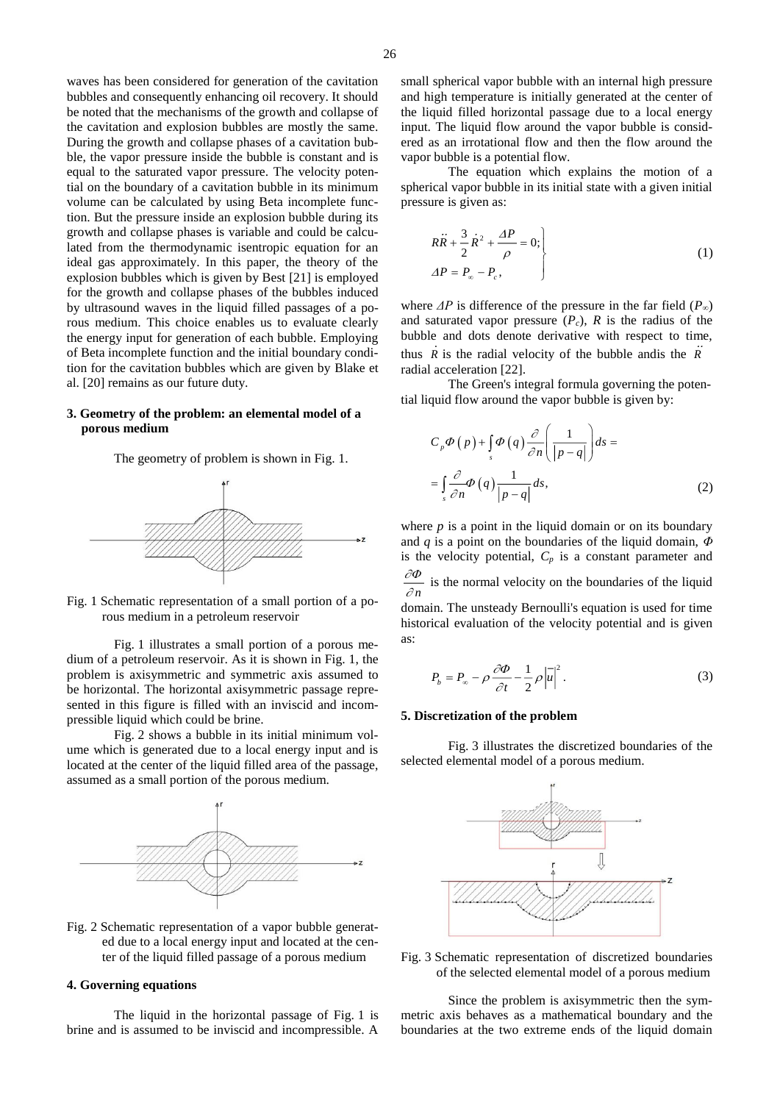waves has been considered for generation of the cavitation bubbles and consequently enhancing oil recovery. It should be noted that the mechanisms of the growth and collapse of the cavitation and explosion bubbles are mostly the same. During the growth and collapse phases of a cavitation bubble, the vapor pressure inside the bubble is constant and is equal to the saturated vapor pressure. The velocity potential on the boundary of a cavitation bubble in its minimum volume can be calculated by using Beta incomplete function. But the pressure inside an explosion bubble during its growth and collapse phases is variable and could be calculated from the thermodynamic isentropic equation for an ideal gas approximately. In this paper, the theory of the explosion bubbles which is given by Best [21] is employed for the growth and collapse phases of the bubbles induced by ultrasound waves in the liquid filled passages of a porous medium. This choice enables us to evaluate clearly the energy input for generation of each bubble. Employing of Beta incomplete function and the initial boundary condition for the cavitation bubbles which are given by Blake et al. [20] remains as our future duty.

## **3. Geometry of the problem: an elemental model of a porous medium**

The geometry of problem is shown in Fig. 1.



Fig. 1 Schematic representation of a small portion of a porous medium in a petroleum reservoir

Fig. 1 illustrates a small portion of a porous medium of a petroleum reservoir. As it is shown in Fig. 1, the problem is axisymmetric and symmetric axis assumed to be horizontal. The horizontal axisymmetric passage represented in this figure is filled with an inviscid and incompressible liquid which could be brine.

Fig. 2 shows a bubble in its initial minimum volume which is generated due to a local energy input and is located at the center of the liquid filled area of the passage, assumed as a small portion of the porous medium.



Fig. 2 Schematic representation of a vapor bubble generated due to a local energy input and located at the center of the liquid filled passage of a porous medium

# **4. Governing equations**

The liquid in the horizontal passage of Fig. 1 is brine and is assumed to be inviscid and incompressible. A

small spherical vapor bubble with an internal high pressure and high temperature is initially generated at the center of the liquid filled horizontal passage due to a local energy input. The liquid flow around the vapor bubble is considered as an irrotational flow and then the flow around the vapor bubble is a potential flow.

The equation which explains the motion of a spherical vapor bubble in its initial state with a given initial pressure is given as:

$$
R\ddot{R} + \frac{3}{2}\dot{R}^2 + \frac{\Delta P}{\rho} = 0;\\
\Delta P = P_{\infty} - P_c,
$$
\n(1)

where  $\Delta P$  is difference of the pressure in the far field  $(P_\infty)$ and saturated vapor pressure  $(P_c)$ ,  $R$  is the radius of the bubble and dots denote derivative with respect to time, thus *R* is the radial velocity of the bubble andis the *R* radial acceleration [22].

The Green's integral formula governing the potential liquid flow around the vapor bubble is given by:

$$
C_p \Phi(p) + \int_s \Phi(q) \frac{\partial}{\partial n} \left( \frac{1}{|p-q|} \right) ds =
$$
  
= 
$$
\int_s \frac{\partial}{\partial n} \Phi(q) \frac{1}{|p-q|} ds,
$$
 (2)

where  $p$  is a point in the liquid domain or on its boundary and *q* is a point on the boundaries of the liquid domain, *Φ* is the velocity potential,  $C_p$  is a constant parameter and *n*  $\frac{\partial \Phi}{\partial x}$  is the normal velocity on the boundaries of the liquid

domain. The unsteady Bernoulli's equation is used for time historical evaluation of the velocity potential and is given as:

$$
P_b = P_{\infty} - \rho \frac{\partial \Phi}{\partial t} - \frac{1}{2} \rho \left| \overline{u} \right|^2.
$$
 (3)

#### **5. Discretization of the problem**

Fig. 3 illustrates the discretized boundaries of the selected elemental model of a porous medium.



Fig. 3 Schematic representation of discretized boundaries of the selected elemental model of a porous medium

Since the problem is axisymmetric then the symmetric axis behaves as a mathematical boundary and the boundaries at the two extreme ends of the liquid domain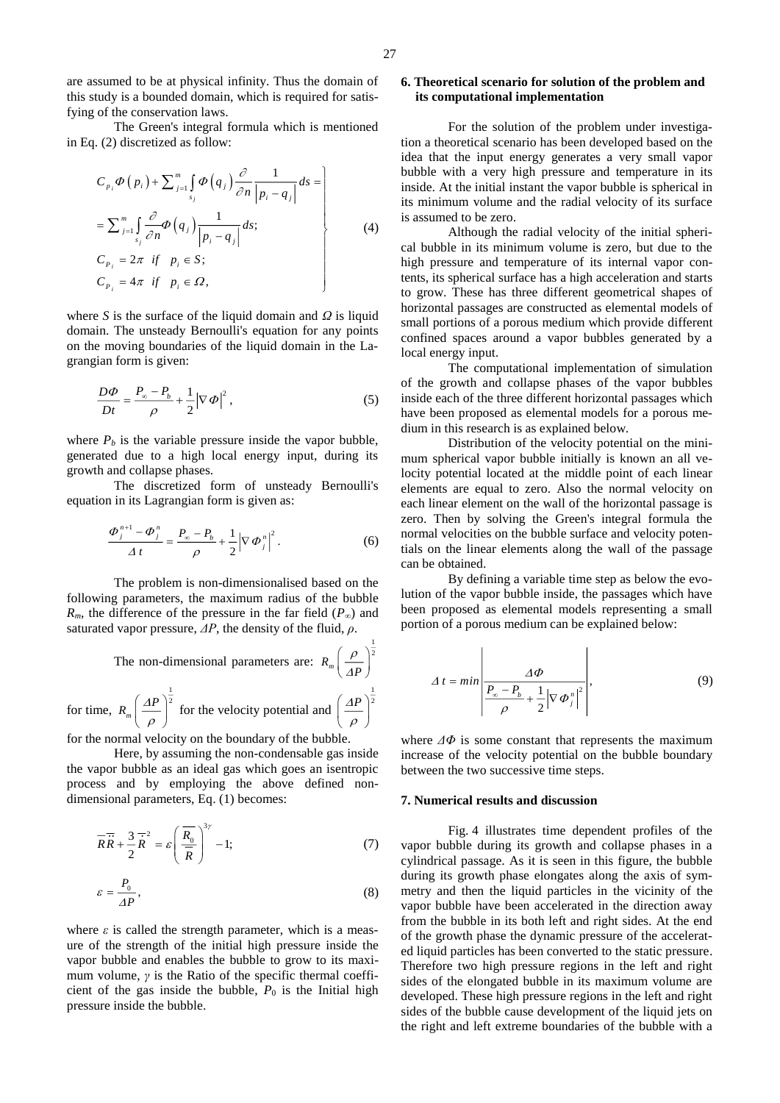The Green's integral formula which is mentioned in Eq. (2) discretized as follow:

$$
C_{p_i} \Phi(p_i) + \sum_{j=1}^m \int_{s_j} \Phi(q_j) \frac{\partial}{\partial n} \frac{1}{|p_i - q_j|} ds =
$$
  
\n
$$
= \sum_{j=1}^m \int_{s_j} \frac{\partial}{\partial n} \Phi(q_j) \frac{1}{|p_i - q_j|} ds;
$$
  
\n
$$
C_{p_i} = 2\pi \text{ if } p_i \in S;
$$
  
\n
$$
C_{p_i} = 4\pi \text{ if } p_i \in \Omega,
$$
  
\n(4)

where *S* is the surface of the liquid domain and *Ω* is liquid domain. The unsteady Bernoulli's equation for any points on the moving boundaries of the liquid domain in the Lagrangian form is given:

$$
\frac{D\Phi}{Dt} = \frac{P_{\infty} - P_b}{\rho} + \frac{1}{2} |\nabla \Phi|^2,
$$
\n(5)

where  $P_b$  is the variable pressure inside the vapor bubble, generated due to a high local energy input, during its growth and collapse phases.

The discretized form of unsteady Bernoulli's equation in its Lagrangian form is given as:

$$
\frac{\Phi_j^{n+1} - \Phi_j^n}{\Delta t} = \frac{P_\infty - P_b}{\rho} + \frac{1}{2} |\nabla \Phi_j^n|^2.
$$
 (6)

The problem is non-dimensionalised based on the following parameters, the maximum radius of the bubble *R<sub>m</sub>*, the difference of the pressure in the far field ( $P_\infty$ ) and saturated vapor pressure, *ΔP*, the density of the fluid, *ρ*.

> The non-dimensional parameters are:  $R_m \left( \frac{\rho}{AP} \right)^2$

The non-dimensional parameters are: 
$$
R_m \left(\frac{\Delta P}{\Delta P}\right)^{\frac{1}{2}}
$$
  
for time,  $R_m \left(\frac{\Delta P}{\rho}\right)^{\frac{1}{2}}$  for the velocity potential and  $\left(\frac{\Delta P}{\rho}\right)^{\frac{1}{2}}$ 

for the normal velocity on the boundary of the bubble.

Here, by assuming the non-condensable gas inside the vapor bubble as an ideal gas which goes an isentropic process and by employing the above defined nondimensional parameters, Eq. (1) becomes:

$$
\overline{RR} + \frac{3}{2}\overline{R}^2 = \varepsilon \left(\frac{\overline{R_0}}{\overline{R}}\right)^{3\gamma} - 1; \tag{7}
$$

$$
\varepsilon = \frac{P_0}{\Delta P},\tag{8}
$$

where  $\varepsilon$  is called the strength parameter, which is a measure of the strength of the initial high pressure inside the vapor bubble and enables the bubble to grow to its maximum volume, *γ* is the Ratio of the specific thermal coefficient of the gas inside the bubble,  $P_0$  is the Initial high pressure inside the bubble.

## **6. Theoretical scenario for solution of the problem and its computational implementation**

For the solution of the problem under investigation a theoretical scenario has been developed based on the idea that the input energy generates a very small vapor bubble with a very high pressure and temperature in its inside. At the initial instant the vapor bubble is spherical in its minimum volume and the radial velocity of its surface is assumed to be zero.

Although the radial velocity of the initial spherical bubble in its minimum volume is zero, but due to the high pressure and temperature of its internal vapor contents, its spherical surface has a high acceleration and starts to grow. These has three different geometrical shapes of horizontal passages are constructed as elemental models of small portions of a porous medium which provide different confined spaces around a vapor bubbles generated by a local energy input.

The computational implementation of simulation of the growth and collapse phases of the vapor bubbles inside each of the three different horizontal passages which have been proposed as elemental models for a porous medium in this research is as explained below.

Distribution of the velocity potential on the minimum spherical vapor bubble initially is known an all velocity potential located at the middle point of each linear elements are equal to zero. Also the normal velocity on each linear element on the wall of the horizontal passage is zero. Then by solving the Green's integral formula the normal velocities on the bubble surface and velocity potentials on the linear elements along the wall of the passage can be obtained.

By defining a variable time step as below the evolution of the vapor bubble inside, the passages which have been proposed as elemental models representing a small portion of a porous medium can be explained below:

$$
\Delta t = min \left| \frac{\Delta \Phi}{\frac{P_{\infty} - P_b}{\rho} + \frac{1}{2} |\nabla \Phi_j^n|^2} \right|, \tag{9}
$$

where  $\Delta \Phi$  is some constant that represents the maximum increase of the velocity potential on the bubble boundary between the two successive time steps.

#### **7. Numerical results and discussion**

Fig. 4 illustrates time dependent profiles of the vapor bubble during its growth and collapse phases in a cylindrical passage. As it is seen in this figure, the bubble during its growth phase elongates along the axis of symmetry and then the liquid particles in the vicinity of the vapor bubble have been accelerated in the direction away from the bubble in its both left and right sides. At the end of the growth phase the dynamic pressure of the accelerated liquid particles has been converted to the static pressure. Therefore two high pressure regions in the left and right sides of the elongated bubble in its maximum volume are developed. These high pressure regions in the left and right sides of the bubble cause development of the liquid jets on the right and left extreme boundaries of the bubble with a

1

 $\rm \rho$ Δ.  $(\rho)$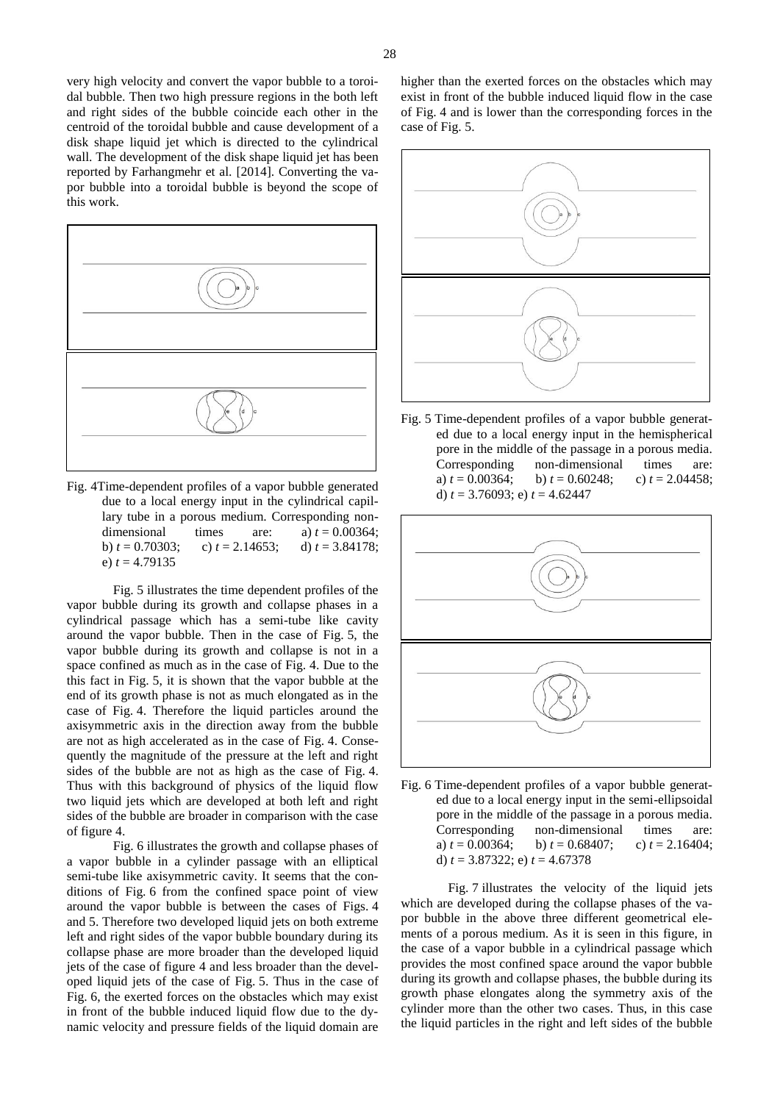

Fig. 4Time-dependent profiles of a vapor bubble generated due to a local energy input in the cylindrical capillary tube in a porous medium. Corresponding nondimensional times are: a)  $t = 0.00364$ ; b)  $t = 0.70303$ ; c)  $t = 2.14653$ ; d)  $t = 3.84178$ ; e)  $t = 4.79135$ 

Fig. 5 illustrates the time dependent profiles of the vapor bubble during its growth and collapse phases in a cylindrical passage which has a semi-tube like cavity around the vapor bubble. Then in the case of Fig. 5, the vapor bubble during its growth and collapse is not in a space confined as much as in the case of Fig. 4. Due to the this fact in Fig. 5, it is shown that the vapor bubble at the end of its growth phase is not as much elongated as in the case of Fig. 4. Therefore the liquid particles around the axisymmetric axis in the direction away from the bubble are not as high accelerated as in the case of Fig. 4. Consequently the magnitude of the pressure at the left and right sides of the bubble are not as high as the case of Fig. 4. Thus with this background of physics of the liquid flow two liquid jets which are developed at both left and right sides of the bubble are broader in comparison with the case of figure 4.

Fig. 6 illustrates the growth and collapse phases of a vapor bubble in a cylinder passage with an elliptical semi-tube like axisymmetric cavity. It seems that the conditions of Fig. 6 from the confined space point of view around the vapor bubble is between the cases of Figs. 4 and 5. Therefore two developed liquid jets on both extreme left and right sides of the vapor bubble boundary during its collapse phase are more broader than the developed liquid jets of the case of figure 4 and less broader than the developed liquid jets of the case of Fig. 5. Thus in the case of Fig. 6, the exerted forces on the obstacles which may exist in front of the bubble induced liquid flow due to the dynamic velocity and pressure fields of the liquid domain are higher than the exerted forces on the obstacles which may exist in front of the bubble induced liquid flow in the case of Fig. 4 and is lower than the corresponding forces in the case of Fig. 5.



Fig. 5 Time-dependent profiles of a vapor bubble generated due to a local energy input in the hemispherical pore in the middle of the passage in a porous media. Corresponding non-dimensional times are: a)  $t = 0.00364$ ; b)  $t = 0.60248$ ; c)  $t = 2.04458$ ; d) *t* = 3.76093; e) *t* = 4.62447



Fig. 6 Time-dependent profiles of a vapor bubble generated due to a local energy input in the semi-ellipsoidal pore in the middle of the passage in a porous media. Corresponding non-dimensional times are: a)  $t = 0.00364$ ; b)  $t = 0.68407$ ; c)  $t = 2.16404$ ; d) *t* = 3.87322; e) *t* = 4.67378

Fig. 7 illustrates the velocity of the liquid jets which are developed during the collapse phases of the vapor bubble in the above three different geometrical elements of a porous medium. As it is seen in this figure, in the case of a vapor bubble in a cylindrical passage which provides the most confined space around the vapor bubble during its growth and collapse phases, the bubble during its growth phase elongates along the symmetry axis of the cylinder more than the other two cases. Thus, in this case the liquid particles in the right and left sides of the bubble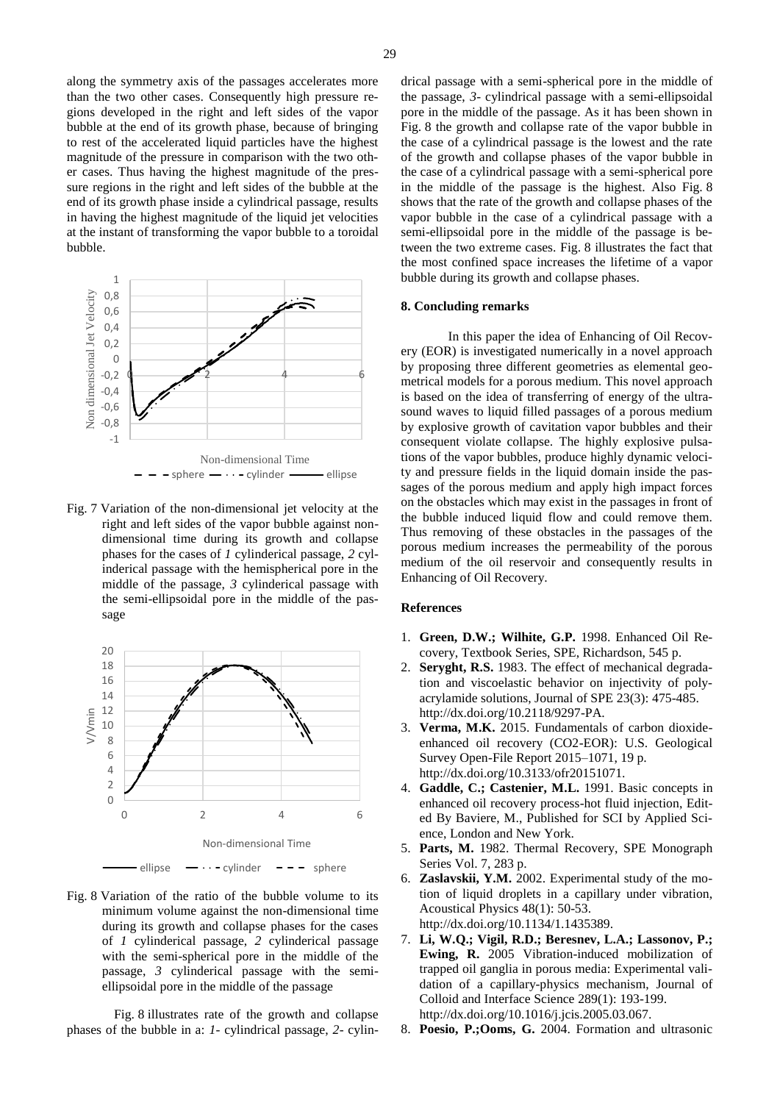along the symmetry axis of the passages accelerates more than the two other cases. Consequently high pressure regions developed in the right and left sides of the vapor bubble at the end of its growth phase, because of bringing to rest of the accelerated liquid particles have the highest magnitude of the pressure in comparison with the two other cases. Thus having the highest magnitude of the pressure regions in the right and left sides of the bubble at the end of its growth phase inside a cylindrical passage, results in having the highest magnitude of the liquid jet velocities at the instant of transforming the vapor bubble to a toroidal bubble.



Fig. 7 Variation of the non-dimensional jet velocity at the right and left sides of the vapor bubble against nondimensional time during its growth and collapse phases for the cases of *1* cylinderical passage, *2* cylinderical passage with the hemispherical pore in the middle of the passage, *3* cylinderical passage with the semi-ellipsoidal pore in the middle of the passage



Fig. 8 Variation of the ratio of the bubble volume to its minimum volume against the non-dimensional time during its growth and collapse phases for the cases of *1* cylinderical passage, *2* cylinderical passage with the semi-spherical pore in the middle of the passage, *3* cylinderical passage with the semiellipsoidal pore in the middle of the passage

Fig. 8 illustrates rate of the growth and collapse phases of the bubble in a: *1*- cylindrical passage, *2*- cylindrical passage with a semi-spherical pore in the middle of the passage, *3*- cylindrical passage with a semi-ellipsoidal pore in the middle of the passage. As it has been shown in Fig. 8 the growth and collapse rate of the vapor bubble in the case of a cylindrical passage is the lowest and the rate of the growth and collapse phases of the vapor bubble in the case of a cylindrical passage with a semi-spherical pore in the middle of the passage is the highest. Also Fig. 8 shows that the rate of the growth and collapse phases of the vapor bubble in the case of a cylindrical passage with a

semi-ellipsoidal pore in the middle of the passage is between the two extreme cases. Fig. 8 illustrates the fact that the most confined space increases the lifetime of a vapor bubble during its growth and collapse phases.

#### **8. Concluding remarks**

In this paper the idea of Enhancing of Oil Recovery (EOR) is investigated numerically in a novel approach by proposing three different geometries as elemental geometrical models for a porous medium. This novel approach is based on the idea of transferring of energy of the ultrasound waves to liquid filled passages of a porous medium by explosive growth of cavitation vapor bubbles and their consequent violate collapse. The highly explosive pulsations of the vapor bubbles, produce highly dynamic velocity and pressure fields in the liquid domain inside the passages of the porous medium and apply high impact forces on the obstacles which may exist in the passages in front of the bubble induced liquid flow and could remove them. Thus removing of these obstacles in the passages of the porous medium increases the permeability of the porous medium of the oil reservoir and consequently results in Enhancing of Oil Recovery.

### **References**

- 1. **Green, D.W.; Wilhite, G.P.** 1998. Enhanced Oil Recovery, Textbook Series, SPE, Richardson, 545 p.
- 2. **Seryght, R.S.** 1983. The effect of mechanical degradation and viscoelastic behavior on injectivity of polyacrylamide solutions, Journal of SPE 23(3): 475-485. http://dx.doi.org/10.2118/9297-PA.
- 3. **Verma, M.K.** 2015. Fundamentals of carbon dioxideenhanced oil recovery (CO2-EOR): U.S. Geological Survey Open-File Report 2015–1071, 19 p. http://dx.doi.org/10.3133/ofr20151071.
- 4. **Gaddle, C.; Castenier, M.L.** 1991. Basic concepts in enhanced oil recovery process-hot fluid injection, Edited By Baviere, M., Published for SCI by Applied Science, London and New York.
- 5. **Parts, M.** 1982. Thermal Recovery, SPE Monograph Series Vol. 7, 283 p.
- 6. **Zaslavskii, Y.M.** 2002. Experimental study of the motion of liquid droplets in a capillary under vibration, Acoustical Physics 48(1): 50-53. http://dx.doi.org/10.1134/1.1435389.
- 7. **Li, W.Q.; Vigil, R.D.; Beresnev, L.A.; Lassonov, P.; Ewing, R.** 2005 Vibration-induced mobilization of trapped oil ganglia in porous media: Experimental validation of a capillary-physics mechanism, Journal of Colloid and Interface Science 289(1): 193-199. http://dx.doi.org/10.1016/j.jcis.2005.03.067.
- 8. **Poesio, P.;Ooms, G.** 2004. Formation and ultrasonic